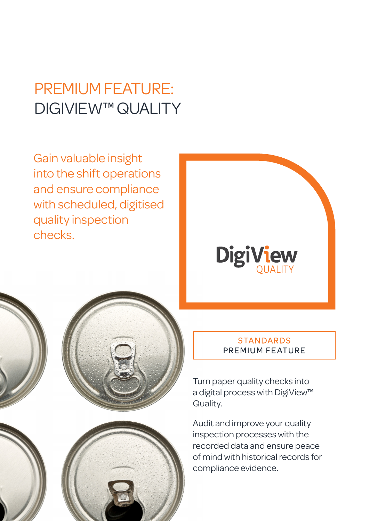# PREMIUM FEATURE: DIGIVIEW™ QUALITY

Gain valuable insight into the shift operations and ensure compliance with scheduled, digitised quality inspection checks.









### **STANDARDS** PREMIUM FEATURE

Turn paper quality checks into a digital process with DigiView™ Quality.

Audit and improve your quality inspection processes with the recorded data and ensure peace of mind with historical records for compliance evidence.